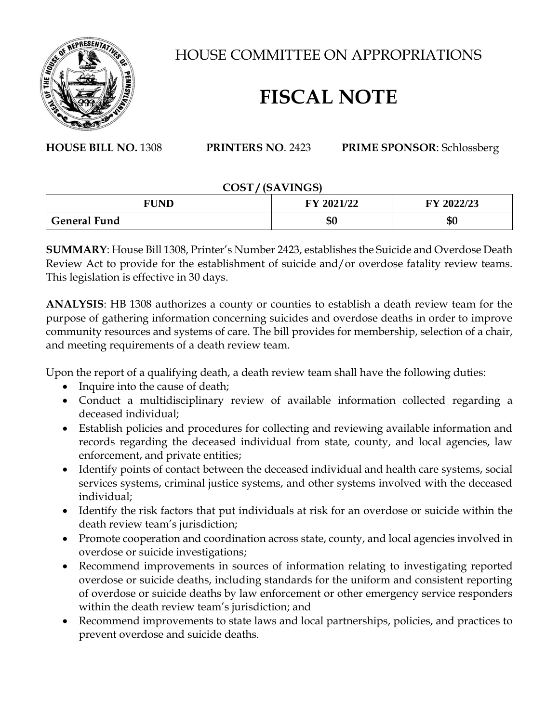

HOUSE COMMITTEE ON APPROPRIATIONS

## **FISCAL NOTE**

**HOUSE BILL NO.** 1308 **PRINTERS NO**. 2423 **PRIME SPONSOR**: Schlossberg

## **COST / (SAVINGS)**

| <b>FUND</b>         | FY 2021/22 | FY 2022/23 |
|---------------------|------------|------------|
| <b>General Fund</b> | ሰሰ<br>ΦU   | \$0        |

**SUMMARY**: House Bill 1308, Printer's Number 2423, establishes the Suicide and Overdose Death Review Act to provide for the establishment of suicide and/or overdose fatality review teams. This legislation is effective in 30 days.

**ANALYSIS**: HB 1308 authorizes a county or counties to establish a death review team for the purpose of gathering information concerning suicides and overdose deaths in order to improve community resources and systems of care. The bill provides for membership, selection of a chair, and meeting requirements of a death review team.

Upon the report of a qualifying death, a death review team shall have the following duties:

- Inquire into the cause of death;
- Conduct a multidisciplinary review of available information collected regarding a deceased individual;
- Establish policies and procedures for collecting and reviewing available information and records regarding the deceased individual from state, county, and local agencies, law enforcement, and private entities;
- Identify points of contact between the deceased individual and health care systems, social services systems, criminal justice systems, and other systems involved with the deceased individual;
- Identify the risk factors that put individuals at risk for an overdose or suicide within the death review team's jurisdiction;
- Promote cooperation and coordination across state, county, and local agencies involved in overdose or suicide investigations;
- Recommend improvements in sources of information relating to investigating reported overdose or suicide deaths, including standards for the uniform and consistent reporting of overdose or suicide deaths by law enforcement or other emergency service responders within the death review team's jurisdiction; and
- Recommend improvements to state laws and local partnerships, policies, and practices to prevent overdose and suicide deaths.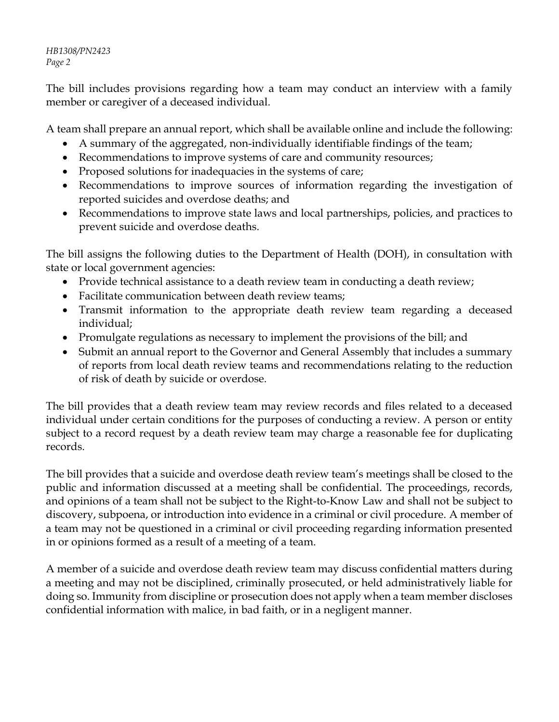*HB1308/PN2423 Page 2*

The bill includes provisions regarding how a team may conduct an interview with a family member or caregiver of a deceased individual.

A team shall prepare an annual report, which shall be available online and include the following:

- A summary of the aggregated, non-individually identifiable findings of the team;
- Recommendations to improve systems of care and community resources;
- Proposed solutions for inadequacies in the systems of care;
- Recommendations to improve sources of information regarding the investigation of reported suicides and overdose deaths; and
- Recommendations to improve state laws and local partnerships, policies, and practices to prevent suicide and overdose deaths.

The bill assigns the following duties to the Department of Health (DOH), in consultation with state or local government agencies:

- Provide technical assistance to a death review team in conducting a death review;
- Facilitate communication between death review teams;
- Transmit information to the appropriate death review team regarding a deceased individual;
- Promulgate regulations as necessary to implement the provisions of the bill; and
- Submit an annual report to the Governor and General Assembly that includes a summary of reports from local death review teams and recommendations relating to the reduction of risk of death by suicide or overdose.

The bill provides that a death review team may review records and files related to a deceased individual under certain conditions for the purposes of conducting a review. A person or entity subject to a record request by a death review team may charge a reasonable fee for duplicating records.

The bill provides that a suicide and overdose death review team's meetings shall be closed to the public and information discussed at a meeting shall be confidential. The proceedings, records, and opinions of a team shall not be subject to the Right-to-Know Law and shall not be subject to discovery, subpoena, or introduction into evidence in a criminal or civil procedure. A member of a team may not be questioned in a criminal or civil proceeding regarding information presented in or opinions formed as a result of a meeting of a team.

A member of a suicide and overdose death review team may discuss confidential matters during a meeting and may not be disciplined, criminally prosecuted, or held administratively liable for doing so. Immunity from discipline or prosecution does not apply when a team member discloses confidential information with malice, in bad faith, or in a negligent manner.